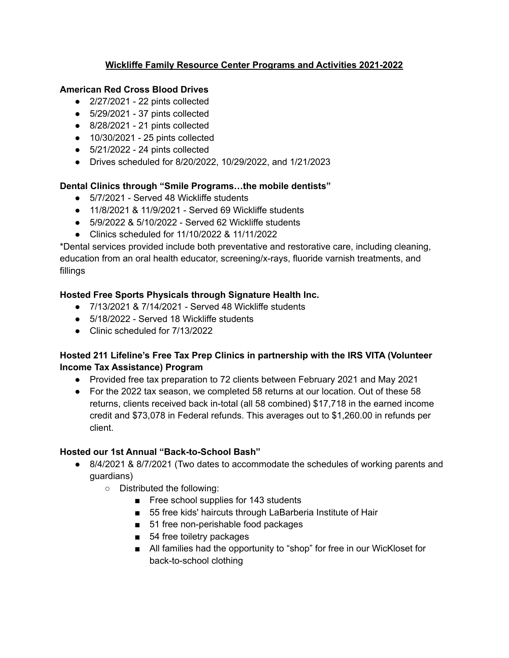### **Wickliffe Family Resource Center Programs and Activities 2021-2022**

### **American Red Cross Blood Drives**

- $\bullet$  2/27/2021 22 pints collected
- $\bullet$  5/29/2021 37 pints collected
- $\bullet$  8/28/2021 21 pints collected
- 10/30/2021 25 pints collected
- $\bullet$  5/21/2022 24 pints collected
- Drives scheduled for 8/20/2022, 10/29/2022, and 1/21/2023

#### **Dental Clinics through "Smile Programs…the mobile dentists"**

- 5/7/2021 Served 48 Wickliffe students
- 11/8/2021 & 11/9/2021 Served 69 Wickliffe students
- 5/9/2022 & 5/10/2022 Served 62 Wickliffe students
- Clinics scheduled for 11/10/2022 & 11/11/2022

\*Dental services provided include both preventative and restorative care, including cleaning, education from an oral health educator, screening/x-rays, fluoride varnish treatments, and fillings

## **Hosted Free Sports Physicals through Signature Health Inc.**

- 7/13/2021 & 7/14/2021 Served 48 Wickliffe students
- 5/18/2022 Served 18 Wickliffe students
- Clinic scheduled for 7/13/2022

## **Hosted 211 Lifeline's Free Tax Prep Clinics in partnership with the IRS VITA (Volunteer Income Tax Assistance) Program**

- Provided free tax preparation to 72 clients between February 2021 and May 2021
- For the 2022 tax season, we completed 58 returns at our location. Out of these 58 returns, clients received back in-total (all 58 combined) \$17,718 in the earned income credit and \$73,078 in Federal refunds. This averages out to \$1,260.00 in refunds per client.

#### **Hosted our 1st Annual "Back-to-School Bash"**

- 8/4/2021 & 8/7/2021 (Two dates to accommodate the schedules of working parents and guardians)
	- Distributed the following:
		- Free school supplies for 143 students
		- 55 free kids' haircuts through LaBarberia Institute of Hair
		- 51 free non-perishable food packages
		- 54 free toiletry packages
		- All families had the opportunity to "shop" for free in our WicKloset for back-to-school clothing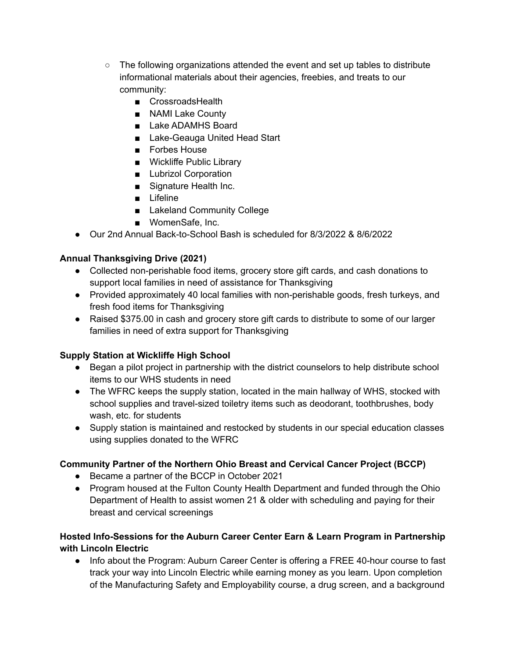- $\circ$  The following organizations attended the event and set up tables to distribute informational materials about their agencies, freebies, and treats to our community:
	- CrossroadsHealth
	- NAMI Lake County
	- Lake ADAMHS Board
	- Lake-Geauga United Head Start
	- Forbes House
	- Wickliffe Public Library
	- Lubrizol Corporation
	- Signature Health Inc.
	- Lifeline
	- Lakeland Community College
	- WomenSafe, Inc.
- Our 2nd Annual Back-to-School Bash is scheduled for 8/3/2022 & 8/6/2022

## **Annual Thanksgiving Drive (2021)**

- Collected non-perishable food items, grocery store gift cards, and cash donations to support local families in need of assistance for Thanksgiving
- Provided approximately 40 local families with non-perishable goods, fresh turkeys, and fresh food items for Thanksgiving
- Raised \$375.00 in cash and grocery store gift cards to distribute to some of our larger families in need of extra support for Thanksgiving

# **Supply Station at Wickliffe High School**

- Began a pilot project in partnership with the district counselors to help distribute school items to our WHS students in need
- The WFRC keeps the supply station, located in the main hallway of WHS, stocked with school supplies and travel-sized toiletry items such as deodorant, toothbrushes, body wash, etc. for students
- Supply station is maintained and restocked by students in our special education classes using supplies donated to the WFRC

# **Community Partner of the Northern Ohio Breast and Cervical Cancer Project (BCCP)**

- Became a partner of the BCCP in October 2021
- Program housed at the Fulton County Health Department and funded through the Ohio Department of Health to assist women 21 & older with scheduling and paying for their breast and cervical screenings

## **Hosted Info-Sessions for the Auburn Career Center Earn & Learn Program in Partnership with Lincoln Electric**

● Info about the Program: Auburn Career Center is offering a FREE 40-hour course to fast track your way into Lincoln Electric while earning money as you learn. Upon completion of the Manufacturing Safety and Employability course, a drug screen, and a background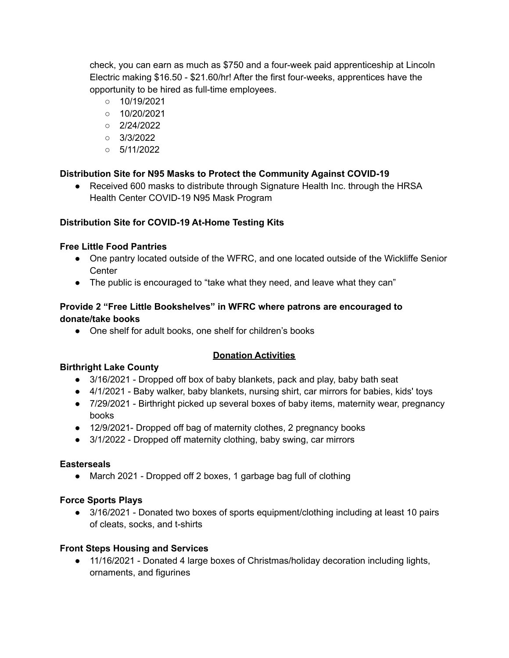check, you can earn as much as \$750 and a four-week paid apprenticeship at Lincoln Electric making \$16.50 - \$21.60/hr! After the first four-weeks, apprentices have the opportunity to be hired as full-time employees.

- 10/19/2021
- 10/20/2021
- 2/24/2022
- 3/3/2022
- 5/11/2022

## **Distribution Site for N95 Masks to Protect the Community Against COVID-19**

• Received 600 masks to distribute through Signature Health Inc. through the HRSA Health Center COVID-19 N95 Mask Program

#### **Distribution Site for COVID-19 At-Home Testing Kits**

#### **Free Little Food Pantries**

- One pantry located outside of the WFRC, and one located outside of the Wickliffe Senior **Center**
- The public is encouraged to "take what they need, and leave what they can"

### **Provide 2 "Free Little Bookshelves" in WFRC where patrons are encouraged to donate/take books**

● One shelf for adult books, one shelf for children's books

#### **Donation Activities**

#### **Birthright Lake County**

- 3/16/2021 Dropped off box of baby blankets, pack and play, baby bath seat
- 4/1/2021 Baby walker, baby blankets, nursing shirt, car mirrors for babies, kids' toys
- 7/29/2021 Birthright picked up several boxes of baby items, maternity wear, pregnancy books
- 12/9/2021- Dropped off bag of maternity clothes, 2 pregnancy books
- 3/1/2022 Dropped off maternity clothing, baby swing, car mirrors

#### **Easterseals**

• March 2021 - Dropped off 2 boxes, 1 garbage bag full of clothing

#### **Force Sports Plays**

● 3/16/2021 - Donated two boxes of sports equipment/clothing including at least 10 pairs of cleats, socks, and t-shirts

#### **Front Steps Housing and Services**

● 11/16/2021 - Donated 4 large boxes of Christmas/holiday decoration including lights, ornaments, and figurines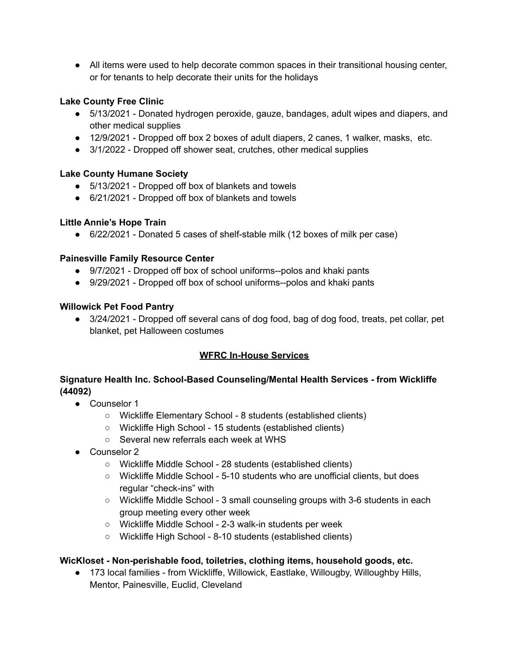● All items were used to help decorate common spaces in their transitional housing center, or for tenants to help decorate their units for the holidays

## **Lake County Free Clinic**

- 5/13/2021 Donated hydrogen peroxide, gauze, bandages, adult wipes and diapers, and other medical supplies
- 12/9/2021 Dropped off box 2 boxes of adult diapers, 2 canes, 1 walker, masks, etc.
- 3/1/2022 Dropped off shower seat, crutches, other medical supplies

## **Lake County Humane Society**

- 5/13/2021 Dropped off box of blankets and towels
- 6/21/2021 Dropped off box of blankets and towels

## **Little Annie's Hope Train**

● 6/22/2021 - Donated 5 cases of shelf-stable milk (12 boxes of milk per case)

## **Painesville Family Resource Center**

- 9/7/2021 Dropped off box of school uniforms--polos and khaki pants
- 9/29/2021 Dropped off box of school uniforms--polos and khaki pants

## **Willowick Pet Food Pantry**

● 3/24/2021 - Dropped off several cans of dog food, bag of dog food, treats, pet collar, pet blanket, pet Halloween costumes

## **WFRC In-House Services**

## **Signature Health Inc. School-Based Counseling/Mental Health Services - from Wickliffe (44092)**

- Counselor 1
	- Wickliffe Elementary School 8 students (established clients)
	- Wickliffe High School 15 students (established clients)
	- Several new referrals each week at WHS
- Counselor 2
	- Wickliffe Middle School 28 students (established clients)
	- Wickliffe Middle School 5-10 students who are unofficial clients, but does regular "check-ins" with
	- Wickliffe Middle School 3 small counseling groups with 3-6 students in each group meeting every other week
	- Wickliffe Middle School 2-3 walk-in students per week
	- Wickliffe High School 8-10 students (established clients)

## **WicKloset - Non-perishable food, toiletries, clothing items, household goods, etc.**

● 173 local families - from Wickliffe, Willowick, Eastlake, Willougby, Willoughby Hills, Mentor, Painesville, Euclid, Cleveland